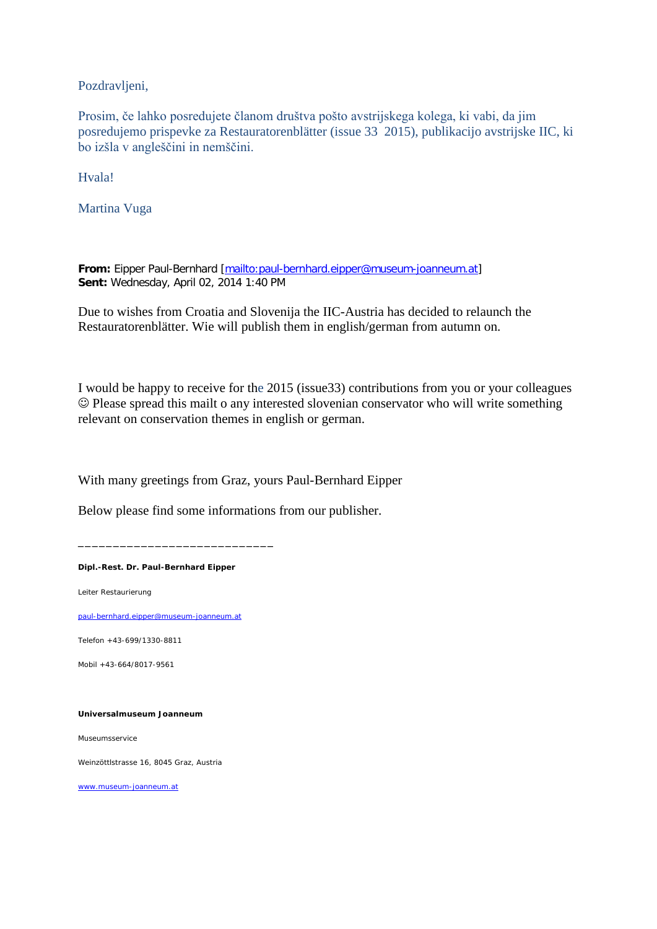Pozdravljeni,

Prosim, če lahko posredujete članom društva pošto avstrijskega kolega, ki vabi, da jim posredujemo prispevke za Restauratorenblätter (issue 33 2015), publikacijo avstrijske IIC, ki bo izšla v angleščini in nemščini.

Hvala!

Martina Vuga

**From:** Eipper Paul-Bernhard [\[mailto:paul-bernhard.eipper@museum-joanneum.at\]](mailto:paul-bernhard.eipper@museum-joanneum.at) **Sent:** Wednesday, April 02, 2014 1:40 PM

Due to wishes from Croatia and Slovenija the IIC-Austria has decided to relaunch the Restauratorenblätter. Wie will publish them in english/german from autumn on.

I would be happy to receive for the 2015 (issue33) contributions from you or your colleagues Please spread this mailt o any interested slovenian conservator who will write something relevant on conservation themes in english or german.

With many greetings from Graz, yours Paul-Bernhard Eipper

Below please find some informations from our publisher.

**Dipl.-Rest. Dr. Paul-Bernhard Eipper**

\_\_\_\_\_\_\_\_\_\_\_\_\_\_\_\_\_\_\_\_\_\_\_\_\_\_\_\_

Leiter Restaurierung

[paul-bernhard.eipper@museum-joanneum.at](mailto:paul-bernhard.eipper@museum-joanneum.at)

Telefon +43-699/1330-8811

Mobil +43-664/8017-9561

**Universalmuseum Joanneum**

Museumsservice

Weinzöttlstrasse 16, 8045 Graz, Austria

[www.museum-joanneum.at](http://www.museum-joanneum.at/)